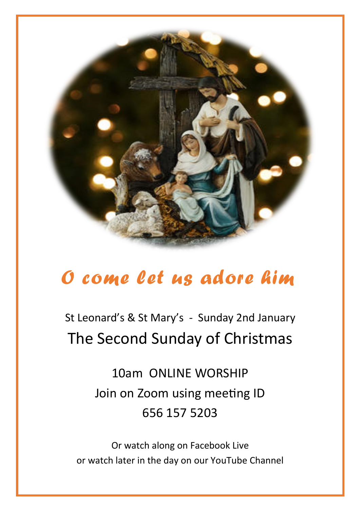

# *O come let us adore him*

# St Leonard's & St Mary's - Sunday 2nd January The Second Sunday of Christmas

# 10am ONLINE WORSHIP Join on Zoom using meeting ID 656 157 5203

Or watch along on Facebook Live or watch later in the day on our YouTube Channel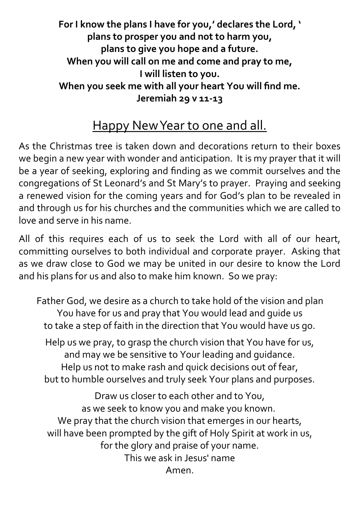**For I know the plans I have for you,' declares the Lord, ' plans to prosper you and not to harm you, plans to give you hope and a future. When you will call on me and come and pray to me, I will listen to you. When you seek me with all your heart You will find me. Jeremiah 29 v 11-13**

## Happy New Year to one and all.

As the Christmas tree is taken down and decorations return to their boxes we begin a new year with wonder and anticipation. It is my prayer that it will be a year of seeking, exploring and finding as we commit ourselves and the congregations of St Leonard's and St Mary's to prayer. Praying and seeking a renewed vision for the coming years and for God's plan to be revealed in and through us for his churches and the communities which we are called to love and serve in his name.

All of this requires each of us to seek the Lord with all of our heart, committing ourselves to both individual and corporate prayer. Asking that as we draw close to God we may be united in our desire to know the Lord and his plans for us and also to make him known. So we pray:

Father God, we desire as a church to take hold of the vision and plan You have for us and pray that You would lead and guide us to take a step of faith in the direction that You would have us go.

Help us we pray, to grasp the church vision that You have for us, and may we be sensitive to Your leading and guidance. Help us not to make rash and quick decisions out of fear, but to humble ourselves and truly seek Your plans and purposes.

Draw us closer to each other and to You, as we seek to know you and make you known. We pray that the church vision that emerges in our hearts, will have been prompted by the gift of Holy Spirit at work in us, for the glory and praise of your name. This we ask in Jesus' name Amen.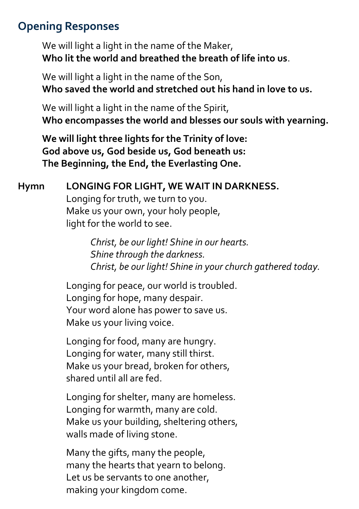#### **Opening Responses**

We will light a light in the name of the Maker, **Who lit the world and breathed the breath of life into us**.

We will light a light in the name of the Son, **Who saved the world and stretched out his hand in love to us.**

We will light a light in the name of the Spirit, **Who encompasses the world and blesses our souls with yearning.**

**We will light three lights for the Trinity of love: God above us, God beside us, God beneath us: The Beginning, the End, the Everlasting One.**

#### **Hymn LONGING FOR LIGHT, WE WAIT IN DARKNESS.** Longing for truth, we turn to you. Make us your own, your holy people, light for the world to see.

*Christ, be our light! Shine in our hearts. Shine through the darkness. Christ, be our light! Shine in your church gathered today.*

Longing for peace, our world is troubled. Longing for hope, many despair. Your word alone has power to save us. Make us your living voice.

Longing for food, many are hungry. Longing for water, many still thirst. Make us your bread, broken for others, shared until all are fed.

Longing for shelter, many are homeless. Longing for warmth, many are cold. Make us your building, sheltering others, walls made of living stone.

Many the gifts, many the people, many the hearts that yearn to belong. Let us be servants to one another, making your kingdom come.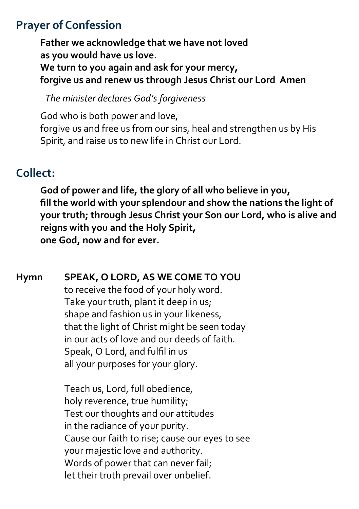## **Prayer of Confession**

**Father we acknowledge that we have not loved as you would have us love. We turn to you again and ask for your mercy, forgive us and renew us through Jesus Christ our Lord Amen**

*The minister declares God's forgiveness*

God who is both power and love, forgive us and free us from our sins, heal and strengthen us by His Spirit, and raise us to new life in Christ our Lord.

## **Collect:**

**God of power and life, the glory of all who believe in you, fill the world with your splendour and show the nations the light of your truth; through Jesus Christ your Son our Lord, who is alive and reigns with you and the Holy Spirit, one God, now and for ever.**

**Hymn SPEAK, O LORD, AS WE COME TO YOU** to receive the food of your holy word.

Take your truth, plant it deep in us; shape and fashion us in your likeness, that the light of Christ might be seen today in our acts of love and our deeds of faith. Speak, O Lord, and fulfil in us all your purposes for your glory.

Teach us, Lord, full obedience, holy reverence, true humility; Test our thoughts and our attitudes in the radiance of your purity. Cause our faith to rise; cause our eyes to see your majestic love and authority. Words of power that can never fail; let their truth prevail over unbelief.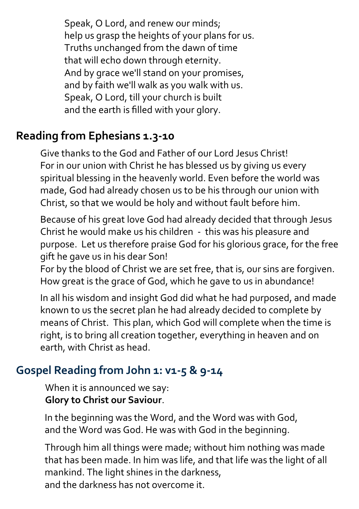Speak, O Lord, and renew our minds; help us grasp the heights of your plans for us. Truths unchanged from the dawn of time that will echo down through eternity. And by grace we'll stand on your promises, and by faith we'll walk as you walk with us. Speak, O Lord, till your church is built and the earth is filled with your glory.

## **Reading from Ephesians 1.3-10**

Give thanks to the God and Father of our Lord Jesus Christ! For in our union with Christ he has blessed us by giving us every spiritual blessing in the heavenly world. Even before the world was made, God had already chosen us to be his through our union with Christ, so that we would be holy and without fault before him.

Because of his great love God had already decided that through Jesus Christ he would make us his children - this was his pleasure and purpose. Let us therefore praise God for his glorious grace, for the free gift he gave us in his dear Son!

For by the blood of Christ we are set free, that is, our sins are forgiven. How great is the grace of God, which he gave to us in abundance!

In all his wisdom and insight God did what he had purposed, and made known to us the secret plan he had already decided to complete by means of Christ. This plan, which God will complete when the time is right, is to bring all creation together, everything in heaven and on earth, with Christ as head.

## **Gospel Reading from John 1: v1-5 & 9-14**

When it is announced we say: **Glory to Christ our Saviour**.

In the beginning was the Word, and the Word was with God, and the Word was God. He was with God in the beginning.

Through him all things were made; without him nothing was made that has been made. In him was life, and that life was the light of all mankind. The light shines in the darkness, and the darkness has not overcome it.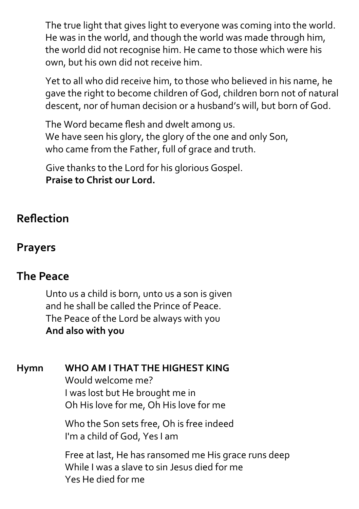The true light that gives light to everyone was coming into the world. He was in the world, and though the world was made through him, the world did not recognise him. He came to those which were his own, but his own did not receive him.

Yet to all who did receive him, to those who believed in his name, he gave the right to become children of God, children born not of natural descent, nor of human decision or a husband's will, but born of God.

The Word became flesh and dwelt among us. We have seen his glory, the glory of the one and only Son, who came from the Father, full of grace and truth.

Give thanks to the Lord for his glorious Gospel. **Praise to Christ our Lord.**

## **Reflection**

#### **Prayers**

#### **The Peace**

Unto us a child is born, unto us a son is given and he shall be called the Prince of Peace. The Peace of the Lord be always with you **And also with you**

#### **Hymn WHO AM I THAT THE HIGHEST KING**

Would welcome me? I was lost but He brought me in Oh His love for me, Oh His love for me

Who the Son sets free, Oh is free indeed I'm a child of God, Yes I am

Free at last, He has ransomed me His grace runs deep While I was a slave to sin Jesus died for me Yes He died for me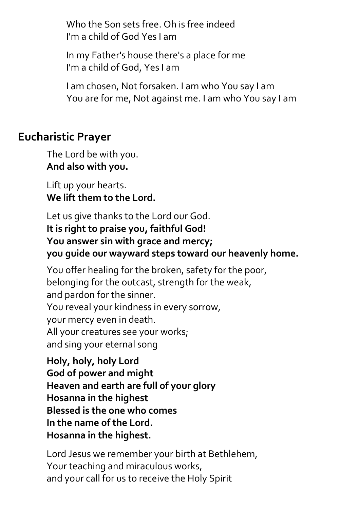Who the Son sets free. Oh is free indeed. I'm a child of God Yes I am

In my Father's house there's a place for me I'm a child of God, Yes I am

I am chosen, Not forsaken. I am who You say I am You are for me, Not against me. I am who You say I am

#### **Eucharistic Prayer**

The Lord be with you. **And also with you.**

Lift up your hearts. **We lift them to the Lord.**

Let us give thanks to the Lord our God. **It is right to praise you, faithful God! You answer sin with grace and mercy; you guide our wayward steps toward our heavenly home.**

You offer healing for the broken, safety for the poor, belonging for the outcast, strength for the weak, and pardon for the sinner. You reveal your kindness in every sorrow, your mercy even in death. All your creatures see your works; and sing your eternal song

**Holy, holy, holy Lord God of power and might Heaven and earth are full of your glory Hosanna in the highest Blessed is the one who comes In the name of the Lord. Hosanna in the highest.**

Lord Jesus we remember your birth at Bethlehem, Your teaching and miraculous works, and your call for us to receive the Holy Spirit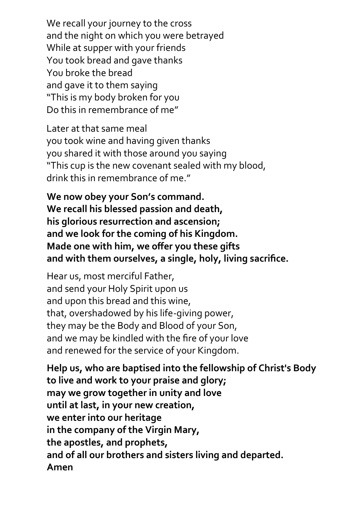We recall your journey to the cross and the night on which you were betrayed While at supper with your friends You took bread and gave thanks You broke the bread and gave it to them saying "This is my body broken for you Do this in remembrance of me"

Later at that same meal you took wine and having given thanks you shared it with those around you saying "This cup is the new covenant sealed with my blood, drink this in remembrance of me."

**We now obey your Son's command. We recall his blessed passion and death, his glorious resurrection and ascension; and we look for the coming of his Kingdom. Made one with him, we offer you these gifts and with them ourselves, a single, holy, living sacrifice.**

Hear us, most merciful Father, and send your Holy Spirit upon us and upon this bread and this wine, that, overshadowed by his life-giving power, they may be the Body and Blood of your Son, and we may be kindled with the fire of your love and renewed for the service of your Kingdom.

**Help us, who are baptised into the fellowship of Christ's Body to live and work to your praise and glory; may we grow together in unity and love until at last, in your new creation, we enter into our heritage in the company of the Virgin Mary, the apostles, and prophets, and of all our brothers and sisters living and departed. Amen**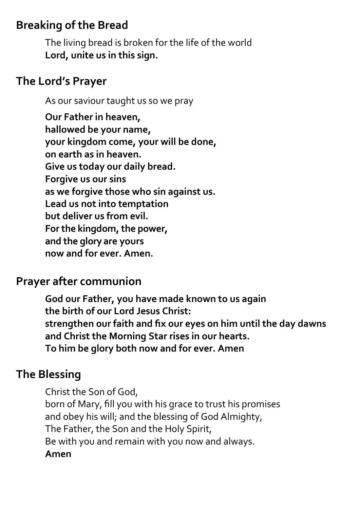## **Breaking of the Bread**

The living bread is broken for the life of the world **Lord, unite us in this sign.**

### **The Lord's Prayer**

As our saviour taught us so we pray

**Our Father in heaven, hallowed be your name, your kingdom come, your will be done, on earth as in heaven. Give us today our daily bread. Forgive us our sins as we forgive those who sin against us. Lead us not into temptation but deliver us from evil. For the kingdom, the power, and the gloryare yours now and for ever. Amen.**

## **Prayer after communion**

**God our Father, you have made known to us again the birth of our Lord Jesus Christ: strengthen our faith and fix our eyes on him until the day dawns and Christ the Morning Star rises in our hearts. To him be glory both now and for ever. Amen**

## **The Blessing**

Christ the Son of God, born of Mary, fill you with his grace to trust his promises and obey his will; and the blessing of God Almighty, The Father, the Son and the Holy Spirit, Be with you and remain with you now and always. **Amen**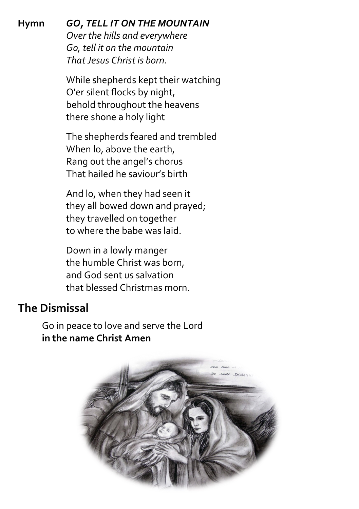**Hymn** *GO, TELL IT ON THE MOUNTAIN*

*Over the hills and everywhere Go, tell it on the mountain That Jesus Christ is born.*

While shepherds kept their watching O'er silent flocks by night, behold throughout the heavens there shone a holy light

The shepherds feared and trembled When lo, above the earth, Rang out the angel's chorus That hailed he saviour's birth

And lo, when they had seen it they all bowed down and prayed; they travelled on together to where the babe was laid.

Down in a lowly manger the humble Christ was born, and God sent us salvation that blessed Christmas morn.

### **The Dismissal**

Go in peace to love and serve the Lord **in the name Christ Amen**

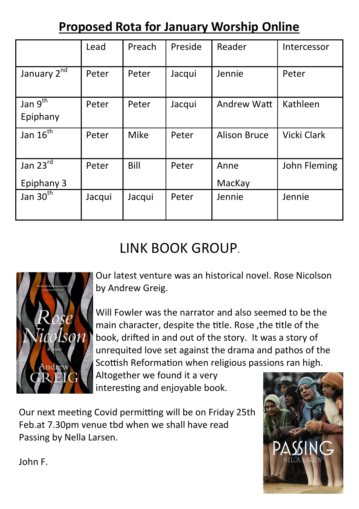## **Proposed Rota for January Worship Online**

|                                     | Lead   | Preach | Preside | Reader              | Intercessor  |
|-------------------------------------|--------|--------|---------|---------------------|--------------|
| January 2 <sup>nd</sup>             | Peter  | Peter  | Jacqui  | Jennie              | Peter        |
| Jan $9^{\overline{th}}$<br>Epiphany | Peter  | Peter  | Jacqui  | Andrew Watt         | Kathleen     |
| Jan $16^{\overline{th}}$            | Peter  | Mike   | Peter   | <b>Alison Bruce</b> | Vicki Clark  |
| Jan 23rd<br>Epiphany 3              | Peter  | Bill   | Peter   | Anne<br>MacKay      | John Fleming |
| Jan 30 <sup>th</sup>                | Jacqui | Jacqui | Peter   | Jennie              | Jennie       |

## LINK BOOK GROUP.



Our latest venture was an historical novel. Rose Nicolson by Andrew Greig.

Will Fowler was the narrator and also seemed to be the main character, despite the title. Rose ,the title of the book, drifted in and out of the story. It was a story of unrequited love set against the drama and pathos of the Scottish Reformation when religious passions ran high.

Altogether we found it a very interesting and enjoyable book.

Our next meeting Covid permitting will be on Friday 25th Feb.at 7.30pm venue tbd when we shall have read Passing by Nella Larsen.



John F.